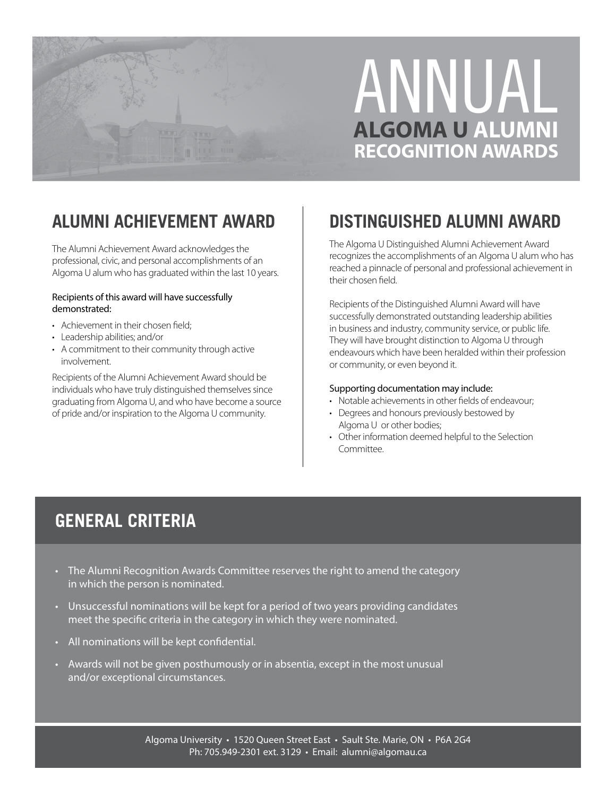

# **ALGOMA U ALUMNI RECOGNITION AWARDS** ANNUAL

## **ALUMNI ACHIEVEMENT AWARD**

The Alumni Achievement Award acknowledges the professional, civic, and personal accomplishments of an Algoma U alum who has graduated within the last 10 years.

#### Recipients of this award will have successfully demonstrated:

- Achievement in their chosen field;
- Leadership abilities; and/or
- A commitment to their community through active involvement.

Recipients of the Alumni Achievement Award should be individuals who have truly distinguished themselves since graduating from Algoma U, and who have become a source of pride and/or inspiration to the Algoma U community.

# **DISTINGUISHED ALUMNI AWARD**

The Algoma U Distinguished Alumni Achievement Award recognizes the accomplishments of an Algoma U alum who has reached a pinnacle of personal and professional achievement in their chosen field.

Recipients of the Distinguished Alumni Award will have successfully demonstrated outstanding leadership abilities in business and industry, community service, or public life. They will have brought distinction to Algoma U through endeavours which have been heralded within their profession or community, or even beyond it.

### Supporting documentation may include:

- Notable achievements in other fields of endeavour;
- Degrees and honours previously bestowed by Algoma U or other bodies;
- Other information deemed helpful to the Selection Committee.

### **GENERAL CRITERIA**

- The Alumni Recognition Awards Committee reserves the right to amend the category in which the person is nominated.
- Unsuccessful nominations will be kept for a period of two years providing candidates meet the specific criteria in the category in which they were nominated.
- All nominations will be kept confidential.
- Awards will not be given posthumously or in absentia, except in the most unusual and/or exceptional circumstances.